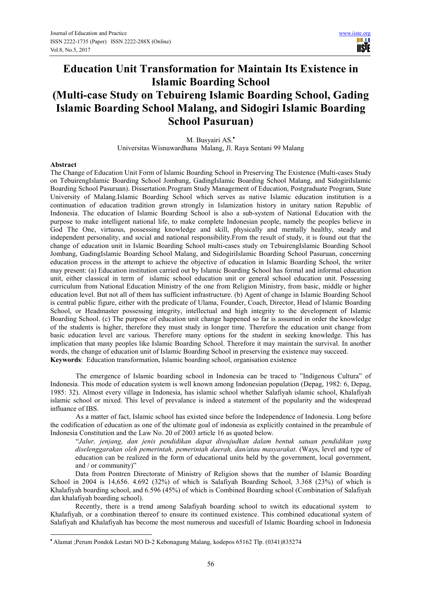# **Education Unit Transformation for Maintain Its Existence in Islamic Boarding School (Multi-case Study on Tebuireng Islamic Boarding School, Gading Islamic Boarding School Malang, and Sidogiri Islamic Boarding School Pasuruan)**

M. Busyairi AS.•

Universitas Wisnuwardhana Malang, Jl. Raya Sentani 99 Malang

#### **Abstract**

-

The Change of Education Unit Form of Islamic Boarding School in Preserving The Existence (Multi-cases Study on TebuirengIslamic Boarding School Jombang, GadingIslamic Boarding School Malang, and SidogiriIslamic Boarding School Pasuruan). Dissertation.Program Study Management of Education, Postgraduate Program, State University of Malang.Islamic Boarding School which serves as native Islamic education institution is a continuation of education tradition grown strongly in Islamization history in unitary nation Republic of Indonesia. The education of Islamic Boarding School is also a sub-system of National Education with the purpose to make intelligent national life, to make complete Indonesian people, namely the peoples believe in God The One, virtuous, possessing knowledge and skill, physically and mentally healthy, steady and independent personality, and social and national responsibility.From the result of study, it is found out that the change of education unit in Islamic Boarding School multi-cases study on TebuirengIslamic Boarding School Jombang, GadingIslamic Boarding School Malang, and SidogiriIslamic Boarding School Pasuruan, concerning education process in the attempt to achieve the objective of education in Islamic Boarding School, the writer may present: (a) Education institution carried out by Islamic Boarding School has formal and informal education unit, either classical in term of islamic school education unit or general school education unit. Possessing curriculum from National Education Ministry of the one from Religion Ministry, from basic, middle or higher education level. But not all of them has sufficient infrastructure. (b) Agent of change in Islamic Boarding School is central public figure, either with the predicate of Ulama, Founder, Coach, Director, Head of Islamic Boarding School, or Headmaster possessing integrity, intellectual and high integrity to the development of Islamic Boarding School. (c) The purpose of education unit change happened so far is assumed in order the knowledge of the students is higher, therefore they must study in longer time. Therefore the education unit change from basic education level are various. Therefore many options for the student in seeking knowledge. This has implication that many peoples like Islamic Boarding School. Therefore it may maintain the survival. In another words, the change of education unit of Islamic Boarding School in preserving the existence may succeed. **Keywords**: Education transformation, Islamic boarding school, organisation existence

The emergence of Islamic boarding school in Indonesia can be traced to "Indigenous Cultura" of Indonesia. This mode of education system is well known among Indonesian population (Depag, 1982: 6, Depag, 1985: 32). Almost every village in Indonesia, has islamic school whether Salafiyah islamic school, Khalafiyah islamic school or mixed. This level of prevalance is indeed a statement of the popularity and the widespread influance of IBS.

As a matter of fact, Islamic school has existed since before the Independence of Indonesia. Long before the codification of education as one of the ultimate goal of indonesia as explicitly contained in the preambule of Indonesia Constitution and the Law No. 20 of 2003 article 16 as quoted below.

"*Jalur, jenjang, dan jenis pendidikan dapat diwujudkan dalam bentuk satuan pendidikan yang diselenggarakan oleh pemerintah, pemerintah daerah, dan/atau masyarakat*. (Ways, level and type of education can be realized in the form of educational units held by the government, local government, and / or community)"

Data from Pontren Directorate of Ministry of Religion shows that the number of Islamic Boarding School in 2004 is 14,656. 4.692 (32%) of which is Salafiyah Boarding School, 3.368 (23%) of which is Khalafiyah boarding school, and 6.596 (45%) of which is Combined Boarding school (Combination of Salafiyah dan khalafiyah boarding school).

Recently, there is a trend among Salafiyah boarding school to switch its educational system to Khalafiyah, or a combination thereof to ensure its continued existence. This combined educational system of Salafiyah and Khalafiyah has become the most numerous and sucesfull of Islamic Boarding school in Indonesia

<sup>•</sup> Alamat ;Perum Pondok Lestari NO D-2 Kebonagung Malang, kodepos 65162 Tlp. (0341)835274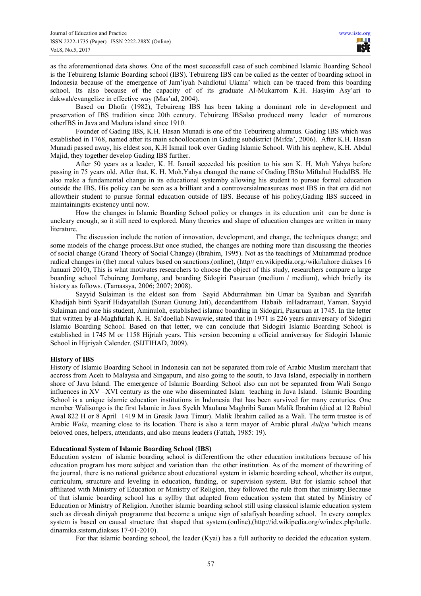as the aforementioned data shows. One of the most successfull case of such combined Islamic Boarding School is the Tebuireng Islamic Boarding school (IBS). Tebuireng IBS can be called as the center of boarding school in Indonesia because of the emergence of Jam'iyah Nahdlotul Ulama' which can be traced from this boarding school. Its also because of the capacity of of its graduate Al-Mukarrom K.H. Hasyim Asy'ari to dakwah/evangelize in effective way (Mas'ud, 2004).

Based on Dhofir (1982), Tebuireng IBS has been taking a dominant role in development and preservation of IBS tradition since 20th century. Tebuireng IBSalso produced many leader of numerous otherIBS in Java and Madura island since 1910.

Founder of Gading IBS, K.H. Hasan Munadi is one of the Teburireng alumnus. Gading IBS which was established in 1768, named after its main schoollocation in Gading subdistrict (Mifda', 2006). After K.H. Hasan Munadi passed away, his eldest son, K.H Ismail took over Gading Islamic School. With his nephew, K.H. Abdul Majid, they together develop Gading IBS further.

After 50 years as a leader, K. H. Ismail seceeded his position to his son K. H. Moh Yahya before passing in 75 years old. After that, K. H. Moh.Yahya changed the name of Gading IBSto Miftahul HudaIBS. He also make a fundamental change in its educational systemby allowing his student to pursue formal education outside the IBS. His policy can be seen as a brilliant and a controversialmeasureas most IBS in that era did not allowtheir student to pursue formal education outside of IBS. Because of his policy,Gading IBS succeed in maintainingits existency until now.

How the changes in Islamic Boarding School policy or changes in its education unit can be done is uncleary enough, so it still need to explored. Many theories and shape of education changes are written in many literature.

The discussion include the notion of innovation, development, and change, the techniques change; and some models of the change process.But once studied, the changes are nothing more than discussing the theories of social change (Grand Theory of Social Change) (Ibrahim, 1995). Not as the teachings of Muhammad produce radical changes in (the) moral values based on sanctions.(online), (http// en.wikipedia.org./wiki/lahore diakses 16 Januari 2010), This is what motivates researchers to choose the object of this study, researchers compare a large boarding school Tebuireng Jombang, and boarding Sidogiri Pasuruan (medium / medium), which briefly its history as follows. (Tamassya, 2006; 2007; 2008).

Sayyid Sulaiman is the eldest son from Sayid Abdurrahman bin Umar ba Syaiban and Syarifah Khadijah binti Syarif Hidayatullah (Sunan Gunung Jati), decendantfrom Habaib inHadramaut, Yaman. Sayyid Sulaiman and one his student, Aminuloh, established islamic boarding in Sidogiri, Pasuruan at 1745. In the letter that written by al-Maghfurlah K. H. Sa'doellah Nawawie, stated that in 1971 is 226 years anniversary of Sidogiri Islamic Boarding School. Based on that letter, we can conclude that Sidogiri Islamic Boarding School is established in 1745 M or 1158 Hijriah years. This version becoming a official anniversay for Sidogiri Islamic School in Hijriyah Calender. (SIJTIHAD, 2009).

# **History of IBS**

History of Islamic Boarding School in Indonesia can not be separated from role of Arabic Muslim merchant that accross from Aceh to Malaysia and Singapura, and also going to the south, to Java Island, especially in northern shore of Java Island. The emergence of Islamic Boarding School also can not be separated from Wali Songo influences in XV –XVI century as the one who disseminated Islam teaching in Java Island. Islamic Boarding School is a unique islamic education institutions in Indonesia that has been survived for many centuries. One member Walisongo is the first Islamic in Java Syekh Maulana Maghribi Sunan Malik Ibrahim (died at 12 Rabiul Awal 822 H or 8 April 1419 M in Gresik Jawa Timur). Malik Ibrahim called as a Wali. The term trustee is of Arabic *Wala*, meaning close to its location. There is also a term mayor of Arabic plural *Auliya* 'which means beloved ones, helpers, attendants, and also means leaders (Fattah, 1985: 19).

### **Educational System of Islamic Boarding School** (**IBS)**

Education system of islamic boarding school is differentfrom the other education institutions because of his education program has more subject and variation than the other institution. As of the moment of thewriting of the journal, there is no national guidance about educational system in islamic boarding school, whether its output, curriculum, structure and leveling in education, funding, or supervision system. But for islamic school that affiliated with Ministry of Education or Ministry of Religion, they followed the rule from that ministry.Because of that islamic boarding school has a syllby that adapted from education system that stated by Ministry of Education or Ministry of Religion. Another islamic boarding school still using classical islamic education system such as dirosah diniyah programme that become a unique sign of salafiyah boarding school. In every complex system is based on causal structure that shaped that system.(online),(http://id.wikipedia.org/w/index.php/tutle. dinamika.sistem,diakses 17-01-2010).

For that islamic boarding school, the leader (Kyai) has a full authority to decided the education system.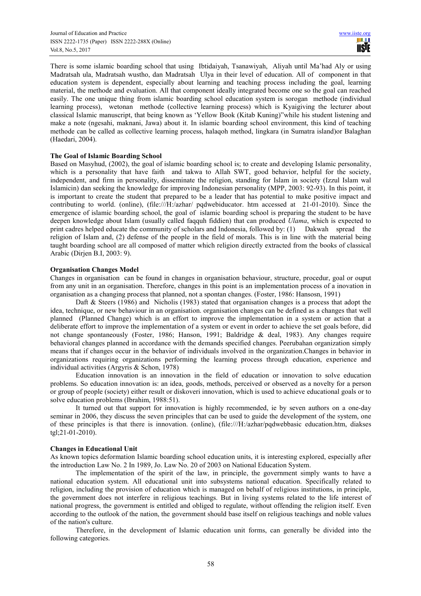There is some islamic boarding school that using Ibtidaiyah, Tsanawiyah, Aliyah until Ma'had Aly or using Madratsah ula, Madratsah wustho, dan Madratsah Ulya in their level of education. All of component in that education system is dependent, especially about learning and teaching process including the goal, learning material, the methode and evaluation. All that component ideally integrated become one so the goal can reached easily. The one unique thing from islamic boarding school education system is sorogan methode (individual learning process), wetonan methode (collective learning process) which is Kyaigiving the lecturer about classical Islamic manuscript, that being known as 'Yellow Book (Kitab Kuning)"while his student listening and make a note (ngesahi, maknani, Jawa) about it. In islamic boarding school environment, this kind of teaching methode can be called as collective learning process, halaqoh method, lingkara (in Sumatra island)or Balaghan (Haedari, 2004).

## **The Goal of Islamic Boarding School**

Based on Masyhud, (2002), the goal of islamic boarding school is; to create and developing Islamic personality, which is a personality that have faith and takwa to Allah SWT, good behavior, helpful for the society, independent, and firm in personality, disseminate the religion, standing for Islam in society (Izzul Islam wal Islamicin) dan seeking the knowledge for improving Indonesian personality (MPP, 2003: 92-93). In this point, it is important to create the student that prepared to be a leader that has potential to make positive impact and contributing to world. (online), (file:///H:/azhar/ pqdwebiducator. htm accessed at 21-01-2010). Since the emergence of islamic boarding school, the goal of islamic boarding school is preparing the student to be have deepen knowledge about Islam (usually called faqquh fiddien) that can produced *Ulama*, which is expected to print cadres helped educate the community of scholars and Indonesia, followed by: (1) Dakwah spread the religion of Islam and, (2) defense of the people in the field of morals. This is in line with the material being taught boarding school are all composed of matter which religion directly extracted from the books of classical Arabic (Dirjen B.I, 2003: 9).

## **Organisation Changes Model**

Changes in organisation can be found in changes in organisation behaviour, structure, procedur, goal or ouput from any unit in an organisation. Therefore, changes in this point is an implementation process of a inovation in organisation as a changing process that planned, not a spontan changes. (Foster, 1986: Hansosn, 1991)

Daft & Steers (1986) and Nicholis (1983) stated that organisation changes is a process that adopt the idea, technique, or new behaviour in an organisation. organisation changes can be defined as a changes that well planned (Planned Change) which is an effort to improve the implementation in a system or action that a deliberate effort to improve the implementation of a system or event in order to achieve the set goals before, did not change spontaneously (Foster, 1986; Hanson, 1991; Baldridge & deal, 1983). Any changes require behavioral changes planned in accordance with the demands specified changes. Peerubahan organization simply means that if changes occur in the behavior of individuals involved in the organization.Changes in behavior in organizations requiring organizations performing the learning process through education, experience and individual activities (Argyris & Schon, 1978)

Education innovation is an innovation in the field of education or innovation to solve education problems. So education innovation is: an idea, goods, methods, perceived or observed as a novelty for a person or group of people (society) either result or diskoveri innovation, which is used to achieve educational goals or to solve education problems (Ibrahim, 1988:51).

It turned out that support for innovation is highly recommended, ie by seven authors on a one-day seminar in 2006, they discuss the seven principles that can be used to guide the development of the system, one of these principles is that there is innovation. (online), (file:///H:/azhar/pqdwebbasic education.htm, diakses tgl;21-01-2010).

#### **Changes in Educational Unit**

As known topics deformation Islamic boarding school education units, it is interesting explored, especially after the introduction Law No. 2 In 1989, Jo. Law No. 20 of 2003 on National Education System.

The implementation of the spirit of the law, in principle, the government simply wants to have a national education system. All educational unit into subsystems national education. Specifically related to religion, including the provision of education which is managed on behalf of religious institutions, in principle, the government does not interfere in religious teachings. But in living systems related to the life interest of national progress, the government is entitled and obliged to regulate, without offending the religion itself. Even according to the outlook of the nation, the government should base itself on religious teachings and noble values of the nation's culture.

Therefore, in the development of Islamic education unit forms, can generally be divided into the following categories.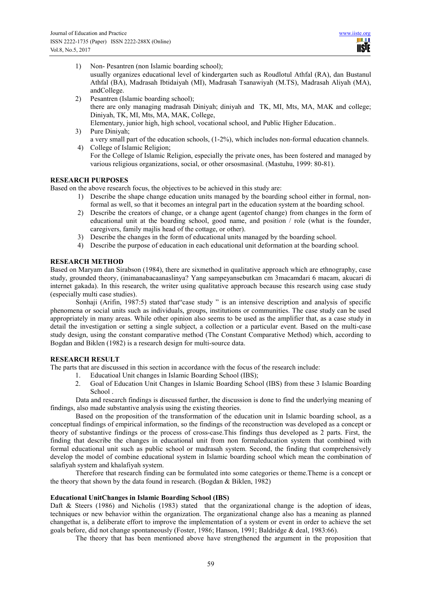HH I **IISTE** 

- 1) Non- Pesantren (non Islamic boarding school); usually organizes educational level of kindergarten such as Roudlotul Athfal (RA), dan Bustanul Athfal (BA), Madrasah Ibtidaiyah (MI), Madrasah Tsanawiyah (M.TS), Madrasah Aliyah (MA), andCollege.
- 2) Pesantren (Islamic boarding school); there are only managing madrasah Diniyah; diniyah and TK, MI, Mts, MA, MAK and college; Diniyah, TK, MI, Mts, MA, MAK, College, Elementary, junior high, high school, vocational school, and Public Higher Education..
- 3) Pure Diniyah; a very small part of the education schools, (1-2%), which includes non-formal education channels.
- 4) College of Islamic Religion; For the College of Islamic Religion, especially the private ones, has been fostered and managed by various religious organizations, social, or other orsosmasinal. (Mastuhu, 1999: 80-81).

# **RESEARCH PURPOSES**

Based on the above research focus, the objectives to be achieved in this study are:

- 1) Describe the shape change education units managed by the boarding school either in formal, nonformal as well, so that it becomes an integral part in the education system at the boarding school.
- 2) Describe the creators of change, or a change agent (agentof change) from changes in the form of educational unit at the boarding school, good name, and position / role (what is the founder, caregivers, family majlis head of the cottage, or other).
- 3) Describe the changes in the form of educational units managed by the boarding school.
- 4) Describe the purpose of education in each educational unit deformation at the boarding school.

## **RESEARCH METHOD**

Based on Maryam dan Sirabson (1984), there are sixmethod in qualitative approach which are ethnography, case study, grounded theory, (inimanabacaanaslinya? Yang sampeyansebutkan cm 3macamdari 6 macam, akucari di internet gakada). In this research, the writer using qualitative approach because this research using case study (especially multi case studies).

Sonhaji (Arifin, 1987:5) stated that case study " is an intensive description and analysis of specific phenomena or social units such as individuals, groups, institutions or communities. The case study can be used appropriately in many areas. While other opinion also seems to be used as the amplifier that, as a case study in detail the investigation or setting a single subject, a collection or a particular event. Based on the multi-case study design, using the constant comparative method (The Constant Comparative Method) which, according to Bogdan and Biklen (1982) is a research design for multi-source data.

## **RESEARCH RESULT**

The parts that are discussed in this section in accordance with the focus of the research include:

- 1. Educatioal Unit changes in Islamic Boarding School (IBS);
- 2. Goal of Education Unit Changes in Islamic Boarding School (IBS) from these 3 Islamic Boarding School .

Data and research findings is discussed further, the discussion is done to find the underlying meaning of findings, also made substantive analysis using the existing theories.

Based on the proposition of the transformation of the education unit in Islamic boarding school, as a conceptual findings of empirical information, so the findings of the reconstruction was developed as a concept or theory of substantive findings or the process of cross-case.This findings thus developed as 2 parts. First, the finding that describe the changes in educational unit from non formaleducation system that combined with formal educational unit such as public school or madrasah system. Second, the finding that comprehensively develop the model of combine educational system in Islamic boarding school which mean the combination of salafiyah system and khalafiyah system.

Therefore that research finding can be formulated into some categories or theme.Theme is a concept or the theory that shown by the data found in research. (Bogdan  $& Biklen, 1982$ )

#### **Educational UnitChanges in Islamic Boarding School (IBS)**

Daft & Steers (1986) and Nicholis (1983) stated that the organizational change is the adoption of ideas, techniques or new behavior within the organization. The organizational change also has a meaning as planned changethat is, a deliberate effort to improve the implementation of a system or event in order to achieve the set goals before, did not change spontaneously (Foster, 1986; Hanson, 1991; Baldridge & deal, 1983:66).

The theory that has been mentioned above have strengthened the argument in the proposition that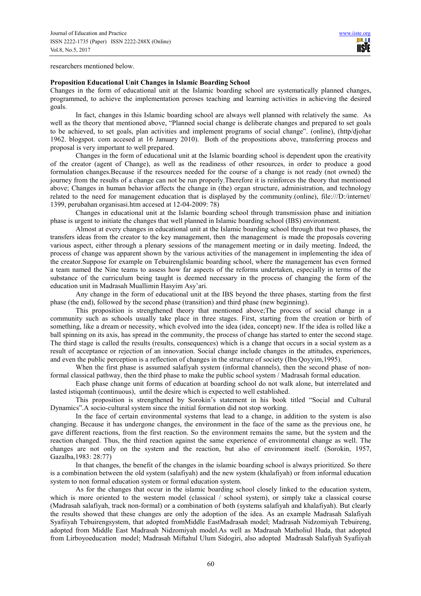researchers mentioned below.

#### **Proposition Educational Unit Changes in Islamic Boarding School**

Changes in the form of educational unit at the Islamic boarding school are systematically planned changes, programmed, to achieve the implementation peroses teaching and learning activities in achieving the desired goals.

In fact, changes in this Islamic boarding school are always well planned with relatively the same. As well as the theory that mentioned above, "Planned social change is deliberate changes and prepared to set goals to be achieved, to set goals, plan activities and implement programs of social change". (online), (http/djohar 1962. blogspot. com accesed at 16 January 2010). Both of the propositions above, transferring process and proposal is very important to well prepared.

Changes in the form of educational unit at the Islamic boarding school is dependent upon the creativity of the creator (agent of Change), as well as the readiness of other resources, in order to produce a good formulation changes.Because if the resources needed for the course of a change is not ready (not owned) the journey from the results of a change can not be run properly.Therefore it is reinforces the theory that mentioned above; Changes in human behavior affects the change in (the) organ structure, administration, and technology related to the need for management education that is displayed by the community.(online), file:///D:/internet/ 1399, perubahan organisasi.htm accesed at 12-04-2009: 78)

Changes in educational unit at the Islamic boarding school through transmission phase and initiation phase is urgent to initiate the changes that well planned in Islamic boarding school (IBS) environment.

Almost at every changes in educational unit at the Islamic boarding school through that two phases, the transfers ideas from the creator to the key management, then the management is made the proposals covering various aspect, either through a plenary sessions of the management meeting or in daily meeting. Indeed, the process of change was apparent shown by the various activities of the management in implementing the idea of the creator.Suppose for example on TebuirengIslamic boarding school, where the management has even formed a team named the Nine teams to assess how far aspects of the reforms undertaken, especially in terms of the substance of the curriculum being taught is deemed necessary in the process of changing the form of the education unit in Madrasah Muallimin Hasyim Asy'ari.

Any change in the form of educational unit at the IBS beyond the three phases, starting from the first phase (the end), followed by the second phase (transition) and third phase (new beginning).

This proposition is strengthened theory that mentioned above;The process of social change in a community such as schools usually take place in three stages. First, starting from the creation or birth of something, like a dream or necessity, which evolved into the idea (idea, concept) new. If the idea is rolled like a ball spinning on its axis, has spread in the community, the process of change has started to enter the second stage. The third stage is called the results (results, consequences) which is a change that occurs in a social system as a result of acceptance or rejection of an innovation. Social change include changes in the attitudes, experiences, and even the public perception is a reflection of changes in the structure of society (Ibn Qoyyim,1995).

When the first phase is assumed salafiyah system (informal channels), then the second phase of nonformal classical pathway, then the third phase to make the public school system / Madrasah formal education.

Each phase change unit forms of education at boarding school do not walk alone, but interrelated and lasted istiqomah (continuous), until the desire which is expected to well established.

This proposition is strengthened by Sorokin's statement in his book titled "Social and Cultural Dynamics".A socio-cultural system since the initial formation did not stop working.

In the face of certain environmental systems that lead to a change, in addition to the system is also changing. Because it has undergone changes, the environment in the face of the same as the previous one, he gave different reactions, from the first reaction. So the environment remains the same, but the system and the reaction changed. Thus, the third reaction against the same experience of environmental change as well. The changes are not only on the system and the reaction, but also of environment itself. (Sorokin, 1957, Gazalba,1983: 28:77)

In that changes, the benefit of the changes in the islamic boarding school is always prioritized. So there is a combination between the old system (salafiyah) and the new system (khalafiyah) or from informal education system to non formal education system or formal education system.

As for the changes that occur in the islamic boarding school closely linked to the education system, which is more oriented to the western model (classical / school system), or simply take a classical course (Madrasah salafiyah, track non-formal) or a combination of both (systems salafiyah and khalafiyah). But clearly the results showed that these changes are only the adoption of the idea. As an example Madrasah Salafiyah Syafiiyah Tebuirengsystem, that adopted fromMiddle EastMadrasah model; Madrasah Nidzomiyah Tebuireng, adopted from Middle East Madrasah Nidzomiyah model.As well as Madrasah Matholiul Huda, that adopted from Lirboyoeducation model; Madrasah Miftahul Ulum Sidogiri, also adopted Madrasah Salafiyah Syafiiyah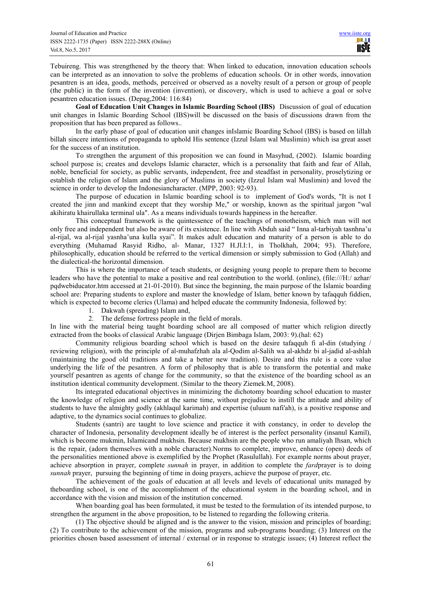Tebuireng. This was strengthened by the theory that: When linked to education, innovation education schools can be interpreted as an innovation to solve the problems of education schools. Or in other words, innovation pesantren is an idea, goods, methods, perceived or observed as a novelty result of a person or group of people (the public) in the form of the invention (invention), or discovery, which is used to achieve a goal or solve pesantren education issues. (Depag,2004: 116:84)

**Goal of Education Unit Changes in Islamic Boarding School (IBS)** Discussion of goal of education unit changes in Islamic Boarding School (IBS)will be discussed on the basis of discussions drawn from the proposition that has been prepared as follows..

In the early phase of goal of education unit changes inIslamic Boarding School (IBS) is based on lillah billah sincere intentions of propaganda to uphold His sentence (Izzul Islam wal Muslimin) which isa great asset for the success of an institution.

To strengthen the argument of this proposition we can found in Masyhud, (2002). Islamic boarding school purpose is; creates and develops Islamic character, which is a personality that faith and fear of Allah, noble, beneficial for society, as public servants, independent, free and steadfast in personality, proselytizing or establish the religion of Islam and the glory of Muslims in society (Izzul Islam wal Muslimin) and loved the science in order to develop the Indonesiancharacter. (MPP, 2003: 92-93).

The purpose of education in Islamic boarding school is to implement of God's words, "It is not I created the jinn and mankind except that they worship Me," or worship, known as the spiritual jargon "wal akihiratu khairullaka terminal ula". As a means individuals towards happiness in the hereafter.

This conceptual framework is the quintessence of the teachings of monotheism, which man will not only free and independent but also be aware of its existence. In line with Abduh said " Inna al-tarbiyah tasnhna'u al-rijal, wa al-rijal yasnha'una kulla syai". It makes adult education and maturity of a person is able to do everything (Muhamad Rasyid Ridho, al- Manar, 1327 H.Jl.I:1, in Tholkhah, 2004; 93). Therefore, philosophically, education should be referred to the vertical dimension or simply submission to God (Allah) and the dialectical-the horizontal dimension.

This is where the importance of teach students, or designing young people to prepare them to become leaders who have the potential to make a positive and real contribution to the world. (online), (file:///H:/ azhar/ pqdwebiducator.htm accessed at 21-01-2010). But since the beginning, the main purpose of the Islamic boarding school are: Preparing students to explore and master the knowledge of Islam, better known by tafaqquh fiddien, which is expected to become clerics (Ulama) and helped educate the community Indonesia, followed by:

- 1. Dakwah (spreading) Islam and,
- 2. The defense fortress people in the field of morals.

In line with the material being taught boarding school are all composed of matter which religion directly extracted from the books of classical Arabic language (Dirjen Bimbaga Islam, 2003: 9).(hal: 62)

Community religious boarding school which is based on the desire tafaqquh fi al-din (studying / reviewing religion), with the principle of al-muhafzhah ala al-Qodim al-Salih wa al-akhdz bi al-jadid al-ashlah (maintaining the good old traditions and take a better new tradition). Desire and this rule is a core value underlying the life of the pesantren. A form of philosophy that is able to transform the potential and make yourself pesantren as agents of change for the community, so that the existence of the boarding school as an institution identical community development. (Similar to the theory Ziemek.M, 2008).

Its integrated educational objectives in minimizing the dichotomy boarding school education to master the knowledge of religion and science at the same time, without prejudice to instill the attitude and ability of students to have the almighty godly (akhlaqul karimah) and expertise (uluum nafi'ah), is a positive response and adaptive, to the dynamics social continues to globalize.

Students (santri) are taught to love science and practice it with constancy, in order to develop the character of Indonesia, personality development ideally be of interest is the perfect personality (insanul Kamil), which is become mukmin, Islamicand mukhsin. Because mukhsin are the people who run amaliyah Ihsan, which is the repair, (adorn themselves with a noble character).Norms to complete, improve, enhance (open) deeds of the personalities mentioned above is exemplified by the Prophet (Rasulullah). For example norms about prayer, achieve absorption in prayer, complete *sunnah* in prayer, in addition to complete the *fard*prayer is to doing *sunnah* prayer, pursuing the beginning of time in doing prayers, achieve the purpose of prayer, etc.

The achievement of the goals of education at all levels and levels of educational units managed by theboarding school, is one of the accomplishment of the educational system in the boarding school, and in accordance with the vision and mission of the institution concerned.

When boarding goal has been formulated, it must be tested to the formulation of its intended purpose, to strengthen the argument in the above proposition, to be listened to regarding the following criteria.

(1) The objective should be aligned and is the answer to the vision, mission and principles of boarding; (2) To contribute to the achievement of the mission, programs and sub-programs boarding; (3) Interest on the priorities chosen based assessment of internal / external or in response to strategic issues; (4) Interest reflect the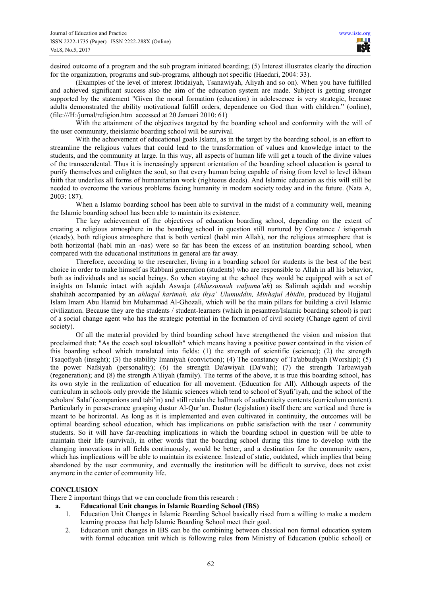desired outcome of a program and the sub program initiated boarding; (5) Interest illustrates clearly the direction for the organization, programs and sub-programs, although not specific (Haedari, 2004: 33).

(Examples of the level of interest Ibtidaiyah, Tsanawiyah, Aliyah and so on). When you have fulfilled and achieved significant success also the aim of the education system are made. Subject is getting stronger supported by the statement "Given the moral formation (education) in adolescence is very strategic, because adults demonstrated the ability motivational fulfill orders, dependence on God than with children." (online), (file:///H:/jurnal/religion.htm accessed at 20 Januari 2010: 61)

With the attainment of the objectives targeted by the boarding school and conformity with the will of the user community, theislamic boarding school will be survival.

With the achievement of educational goals Islami, as in the target by the boarding school, is an effort to streamline the religious values that could lead to the transformation of values and knowledge intact to the students, and the community at large. In this way, all aspects of human life will get a touch of the divine values of the transcendental. Thus it is increasingly apparent orientation of the boarding school education is geared to purify themselves and enlighten the soul, so that every human being capable of rising from level to level ikhsan faith that underlies all forms of humanitarian work (righteous deeds). And Islamic education as this will still be needed to overcome the various problems facing humanity in modern society today and in the future. (Nata A, 2003: 187).

When a Islamic boarding school has been able to survival in the midst of a community well, meaning the Islamic boarding school has been able to maintain its existence.

The key achievement of the objectives of education boarding school, depending on the extent of creating a religious atmosphere in the boarding school in question still nurtured by Constance / istiqomah (steady), both religious atmosphere that is both vertical (habl min Allah), nor the religious atmosphere that is both horizontal (habl min an -nas) were so far has been the excess of an institution boarding school, when compared with the educational institutions in general are far away.

Therefore, according to the researcher, living in a boarding school for students is the best of the best choice in order to make himself as Rabbani generation (students) who are responsible to Allah in all his behavior, both as individuals and as social beings. So when staying at the school they would be equipped with a set of insights on Islamic intact with aqidah Aswaja (*Ahlussunnah waljama'ah*) as Salimah aqidah and worship shahihah accompanied by an *ahlaqul karimah, ala ihya' Ulumuddin, Minhajul Abidin*, produced by Hujjatul Islam Imam Abu Hamid bin Muhammad Al-Ghozali, which will be the main pillars for building a civil Islamic civilization. Because they are the students / student-learners (which in pesantren/Islamic boarding school) is part of a social change agent who has the strategic potential in the formation of civil society (Change agent of civil society).

Of all the material provided by third boarding school have strengthened the vision and mission that proclaimed that: "As the coach soul takwalloh" which means having a positive power contained in the vision of this boarding school which translated into fields: (1) the strength of scientific (science); (2) the strength Tsaqofiyah (insight); (3) the stability Imaniyah (conviction); (4) The constancy of Ta'abbudiyah (Worship); (5) the power Nafsiyah (personality); (6) the strength Da'awiyah (Da'wah); (7) the strength Tarbawiyah (regeneration); and (8) the strength A'iliyah (family). The terms of the above, it is true this boarding school, has its own style in the realization of education for all movement. (Education for All). Although aspects of the curriculum in schools only provide the Islamic sciences which tend to school of Syafi'iyah, and the school of the scholars' Salaf (companions and tabi'in) and still retain the hallmark of authenticity contents (curriculum content). Particularly in perseverance grasping dustur Al-Qur'an. Dustur (legislation) itself there are vertical and there is meant to be horizontal. As long as it is implemented and even cultivated in continuity, the outcomes will be optimal boarding school education, which has implications on public satisfaction with the user / community students. So it will have far-reaching implications in which the boarding school in question will be able to maintain their life (survival), in other words that the boarding school during this time to develop with the changing innovations in all fields continuously, would be better, and a destination for the community users, which has implications will be able to maintain its existence. Instead of static, outdated, which implies that being abandoned by the user community, and eventually the institution will be difficult to survive, does not exist anymore in the center of community life.

# **CONCLUSION**

There 2 important things that we can conclude from this research :

- **a. Educational Unit changes in Islamic Boarding School (IBS)** 
	- 1. Education Unit Changes in Islamic Boarding School basically rised from a willing to make a modern learning process that help Islamic Boarding School meet their goal.
	- 2. Education unit changes in IBS can be the combining between classical non formal education system with formal education unit which is following rules from Ministry of Education (public school) or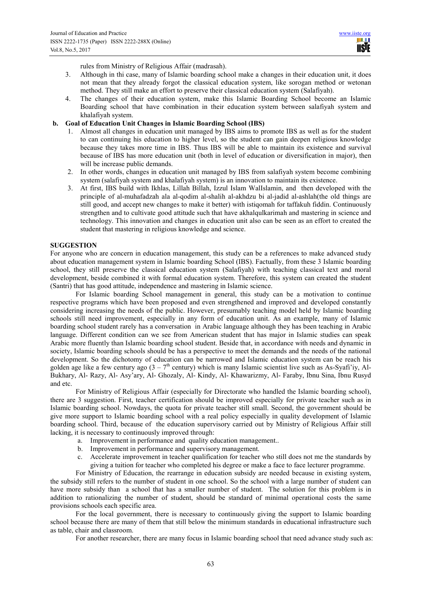rules from Ministry of Religious Affair (madrasah).

- 3. Although in thi case, many of Islamic boarding school make a changes in their education unit, it does not mean that they already forgot the classical education system, like sorogan method or wetonan method. They still make an effort to preserve their classical education system (Salafiyah).
- 4. The changes of their education system, make this Islamic Boarding School become an Islamic Boarding school that have combination in their education system between salafiyah system and khalafiyah system.

## **b. Goal of Education Unit Changes in Islamic Boarding School (IBS)**

- 1. Almost all changes in education unit managed by IBS aims to promote IBS as well as for the student to can continuing his education to higher level, so the student can gain deepen religious knowledge because they takes more time in IBS. Thus IBS will be able to maintain its existence and survival because of IBS has more education unit (both in level of education or diversification in major), then will be increase public demands.
- 2. In other words, changes in education unit managed by IBS from salafiyah system become combining system (salafiyah system and khalafiyah system) is an innovation to maintain its existence.
- 3. At first, IBS build with Ikhlas, Lillah Billah, Izzul Islam WalIslamin, and then developed with the principle of al-muhafadzah ala al-qodim al-shalih al-akhdzu bi al-jadid al-ashlah(the old things are still good, and accept new changes to make it better) with istiqomah for taffakuh fiddin. Continuously strengthen and to cultivate good attitude such that have akhalqulkarimah and mastering in science and technology. This innovation and changes in education unit also can be seen as an effort to created the student that mastering in religious knowledge and science.

# **SUGGESTION**

For anyone who are concern in education management, this study can be a references to make advanced study about education management system in Islamic boarding School (IBS). Factually, from these 3 Islamic boarding school, they still preserve the classical education system (Salafiyah) with teaching classical text and moral development, beside combined it with formal education system. Therefore, this system can created the student (Santri) that has good attitude, independence and mastering in Islamic science.

For Islamic boarding School management in general, this study can be a motivation to continue respective programs which have been proposed and even strengthened and improved and developed constantly considering increasing the needs of the public. However, presumably teaching model held by Islamic boarding schools still need improvement, especially in any form of education unit. As an example, many of Islamic boarding school student rarely has a conversation in Arabic language although they has been teaching in Arabic language. Different condition can we see from American student that has major in Islamic studies can speak Arabic more fluently than Islamic boarding school student. Beside that, in accordance with needs and dynamic in society, Islamic boarding schools should be has a perspective to meet the demands and the needs of the national development. So the dichotomy of education can be narrowed and Islamic education system can be reach his golden age like a few century ago  $(3 - 7<sup>th</sup>$  century) which is many Islamic scientist live such as As-Syafi'iy, Al-Bukhary, Al- Razy, Al- Asy'ary, Al- Ghozaly, Al- Kindy, Al- Khawarizmy, Al- Faraby, Ibnu Sina, Ibnu Rusyd and etc.

For Ministry of Religious Affair (especially for Directorate who handled the Islamic boarding school), there are 3 suggestion. First, teacher certification should be improved especially for private teacher such as in Islamic boarding school. Nowdays, the quota for private teacher still small. Second, the government should be give more support to Islamic boarding school with a real policy especially in quality development of Islamic boarding school. Third, because of the education supervisory carried out by Ministry of Religious Affair still lacking, it is necessary to continuously improved through:

- a. Improvement in performance and quality education management..
- b. Improvement in performance and supervisory management.
- c. Accelerate improvement in teacher qualification for teacher who still does not me the standards by giving a tuition for teacher who completed his degree or make a face to face lecturer programme.

For Ministry of Education, the rearrange in education subsidy are needed because in existing system, the subsidy still refers to the number of student in one school. So the school with a large number of student can have more subsidy than a school that has a smaller number of student. The solution for this problem is in addition to rationalizing the number of student, should be standard of minimal operational costs the same provisions schools each specific area.

For the local government, there is necessary to continuously giving the support to Islamic boarding school because there are many of them that still below the minimum standards in educational infrastructure such as table, chair and classroom.

For another researcher, there are many focus in Islamic boarding school that need advance study such as: